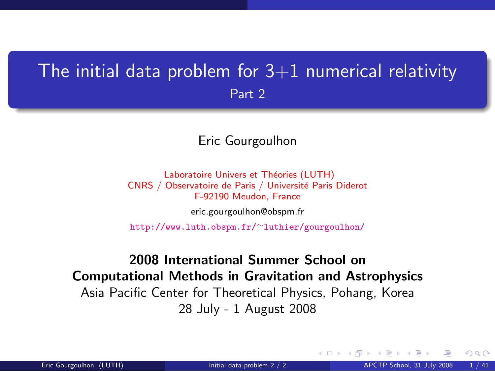### <span id="page-0-1"></span>The initial data problem for  $3+1$  numerical relativity Part 2

#### Eric Gourgoulhon

Laboratoire Univers et Théories (LUTH) CNRS / Observatoire de Paris / Université Paris Diderot F-92190 Meudon, France

[eric.gourgoulhon@obspm.fr](mailto:eric.gourgoulhon@obspm.fr)

[http://www.luth.obspm.fr/](http://www.luth.obspm.fr/~luthier/gourgoulhon/)∼luthier/gourgoulhon/

### 2008 International Summer School on Computational Methods in Gravitation and Astrophysics Asia Pacific Center for Theoretical Physics, Pohang, Korea 28 July - 1 August 2008

<span id="page-0-0"></span> $\Omega$ 

**K ロ ▶ K 何 ▶ K 手**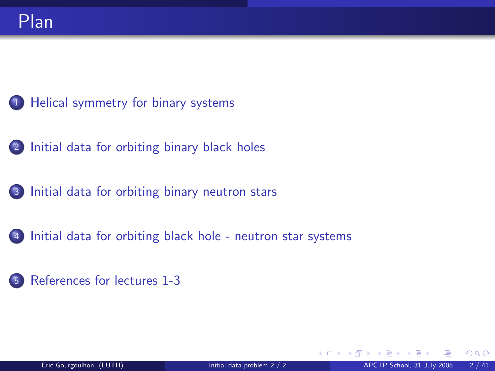- [Helical symmetry for binary systems](#page-2-0)
- [Initial data for orbiting binary black holes](#page-8-0)
- [Initial data for orbiting binary neutron stars](#page-25-0)
- [Initial data for orbiting black hole neutron star systems](#page-33-0)
- [References for lectures 1-3](#page-37-0)

**← ロ ▶ → イ 同 →**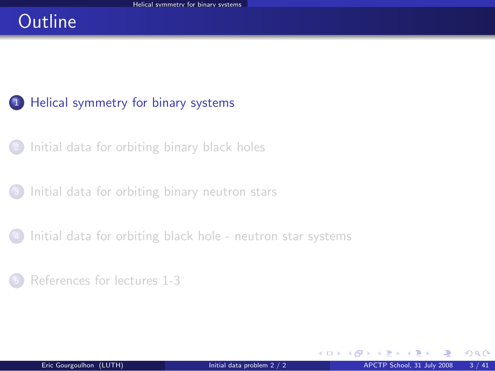## **Outline**

### <sup>1</sup> [Helical symmetry for binary systems](#page-2-0)

- <sup>2</sup> [Initial data for orbiting binary black holes](#page-8-0)
- <sup>3</sup> [Initial data for orbiting binary neutron stars](#page-25-0)
- [Initial data for orbiting black hole neutron star systems](#page-33-0)
- <sup>5</sup> [References for lectures 1-3](#page-37-0)

<span id="page-2-0"></span> $\Omega$ 

**←ロ ▶ ← イ 同 →**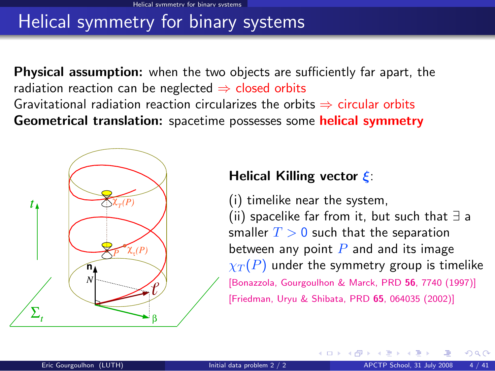## Helical symmetry for binary systems

**Physical assumption:** when the two objects are sufficiently far apart, the radiation reaction can be neglected  $\Rightarrow$  closed orbits Gravitational radiation reaction circularizes the orbits  $\Rightarrow$  circular orbits Geometrical translation: spacetime possesses some helical symmetry



#### Helical Killing vector ξ:

(i) timelike near the system, (ii) spacelike far from it, but such that ∃ a smaller  $T > 0$  such that the separation between any point  $P$  and and its image  $\chi_T(P)$  under the symmetry group is timelike [\[Bonazzola, Gourgoulhon & Marck, PRD](http://prola.aps.org/abstract/PRD/v56/i12/p7740_1) 56, 7740 (1997)] [\[Friedman, Uryu & Shibata, PRD](http://publish.aps.org/abstract/PRD/v65/e064035) 65, 064035 (2002)]

**←ロ ▶ ← イ 同 →**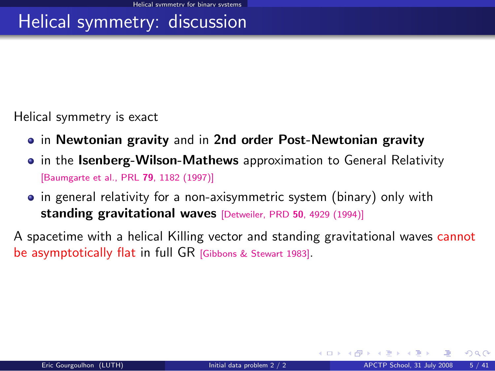## Helical symmetry: discussion

Helical symmetry is exact

- in Newtonian gravity and in 2nd order Post-Newtonian gravity
- in the Isenberg-Wilson-Mathews approximation to General Relativity [\[Baumgarte et al., PRL](http://prola.aps.org/abstract/PRL/v79/i7/p1182_1) 79, 1182 (1997)]
- in general relativity for a non-axisymmetric system (binary) only with standing gravitational waves [\[Detweiler, PRD](#page-0-1) 50, 4929 (1994)]

A spacetime with a helical Killing vector and standing gravitational waves cannot be asymptotically flat in full GR [\[Gibbons & Stewart 1983\]](#page-0-1).

 $\Omega$ 

**K ロ ▶ K 何 ▶ K 手**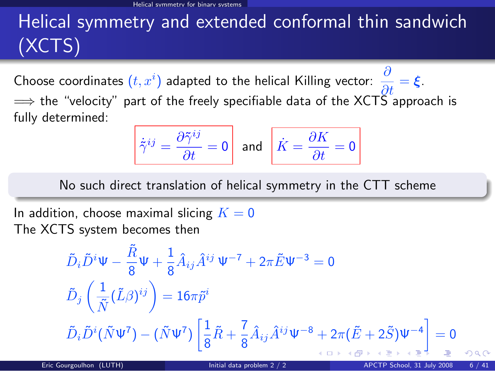# Helical symmetry and extended conformal thin sandwich (XCTS)

Choose coordinates  $(t, x^i)$  adapted to the helical Killing vector:  $\frac{\partial}{\partial t} = \xi$ .  $\implies$  the "velocity" part of the freely specifiable data of the XCTS approach is fully determined:

$$
\dot{\tilde{\gamma}}^{ij} = \frac{\partial \tilde{\gamma}^{ij}}{\partial t} = 0 \quad \text{and} \quad \boxed{\dot{K} = \frac{\partial K}{\partial t} = 0}
$$

No such direct translation of helical symmetry in the CTT scheme

In addition, choose maximal slicing  $K = 0$ The XCTS system becomes then

$$
\tilde{D}_{i}\tilde{D}^{i}\Psi - \frac{\tilde{R}}{8}\Psi + \frac{1}{8}\hat{A}_{ij}\hat{A}^{ij}\Psi^{-7} + 2\pi \tilde{E}\Psi^{-3} = 0
$$
\n
$$
\tilde{D}_{j}\left(\frac{1}{\tilde{N}}(\tilde{L}\beta)^{ij}\right) = 16\pi \tilde{p}^{i}
$$
\n
$$
\tilde{D}_{i}\tilde{D}^{i}(\tilde{N}\Psi^{7}) - (\tilde{N}\Psi^{7})\left[\frac{1}{8}\tilde{R} + \frac{7}{8}\hat{A}_{ij}\hat{A}^{ij}\Psi^{-8} + 2\pi(\tilde{E} + 2\tilde{S})\Psi^{-4}\right] = 0
$$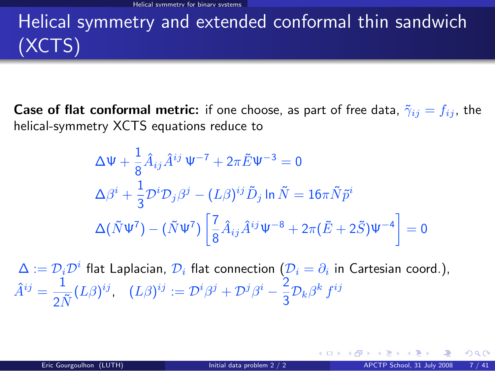# Helical symmetry and extended conformal thin sandwich (XCTS)

**Case of flat conformal metric:** if one choose, as part of free data,  $\tilde{\gamma}_{ij} = f_{ij}$ , the helical-symmetry XCTS equations reduce to

$$
\Delta \Psi + \frac{1}{8} \hat{A}_{ij} \hat{A}^{ij} \Psi^{-7} + 2\pi \tilde{E} \Psi^{-3} = 0
$$
  
\n
$$
\Delta \beta^{i} + \frac{1}{3} \mathcal{D}^{i} \mathcal{D}_{j} \beta^{j} - (L\beta)^{ij} \tilde{D}_{j} \ln \tilde{N} = 16\pi \tilde{N} \tilde{p}^{i}
$$
  
\n
$$
\Delta (\tilde{N} \Psi^{7}) - (\tilde{N} \Psi^{7}) \left[ \frac{7}{8} \hat{A}_{ij} \hat{A}^{ij} \Psi^{-8} + 2\pi (\tilde{E} + 2\tilde{S}) \Psi^{-4} \right] = 0
$$

 $\Delta:=\mathcal{D}_i\mathcal{D}^i$  flat Laplacian,  $\mathcal{D}_i$  flat connection  $(\mathcal{D}_i=\partial_i$  in Cartesian coord.),  $\hat{A}^{ij} = \frac{1}{\sigma^2}$  $\frac{1}{2\tilde{N}}(L\beta)^{ij},\ \ \ (L\beta)^{ij}:=\mathcal{D}^i\beta^j+\mathcal{D}^j\beta^i-\frac{2}{3}$  $\frac{2}{3}\mathcal{D}_k\beta^k f^{ij}$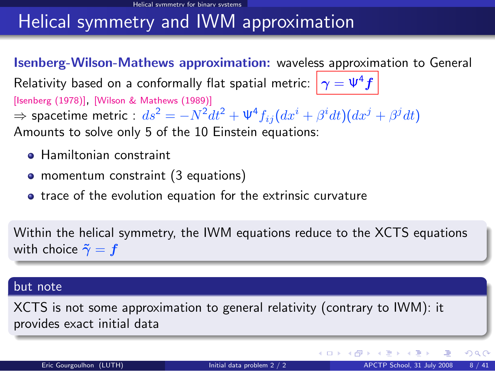## Helical symmetry and IWM approximation

Isenberg-Wilson-Mathews approximation: waveless approximation to General Relativity based on a conformally flat spatial metric:  $|\gamma = \Psi^4 f|$ [\[Isenberg \(1978\)\]](#page-0-1), [\[Wilson & Mathews \(1989\)\]](#page-0-1)  $\Rightarrow$  spacetime metric :  $ds^2=-N^2dt^2+\Psi^4f_{ij}(dx^i+\beta^i dt)(dx^j+\beta^j dt)$ Amounts to solve only 5 of the 10 Einstein equations:

- **Hamiltonian constraint**
- momentum constraint (3 equations)
- **•** trace of the evolution equation for the extrinsic curvature

Within the helical symmetry, the IWM equations reduce to the XCTS equations with choice  $\tilde{\gamma} = f$ 

#### but note

XCTS is not some approximation to general relativity (contrary to IWM): it provides exact initial data

 $\Omega$ 

**K ロ ▶ K 何 ▶ K 手**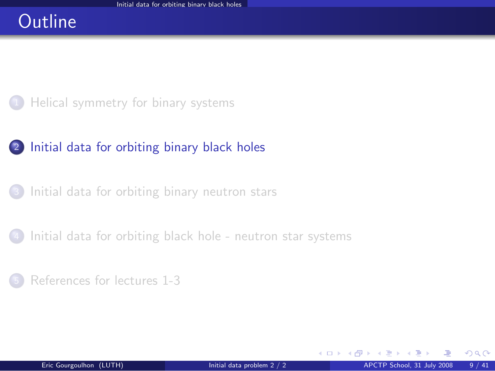### **Outline**



### <sup>2</sup> [Initial data for orbiting binary black holes](#page-8-0)

<sup>3</sup> [Initial data for orbiting binary neutron stars](#page-25-0)

[Initial data for orbiting black hole - neutron star systems](#page-33-0)

#### <sup>5</sup> [References for lectures 1-3](#page-37-0)

<span id="page-8-0"></span> $\Omega$ 

**←ロ ▶ ← イ 同 →**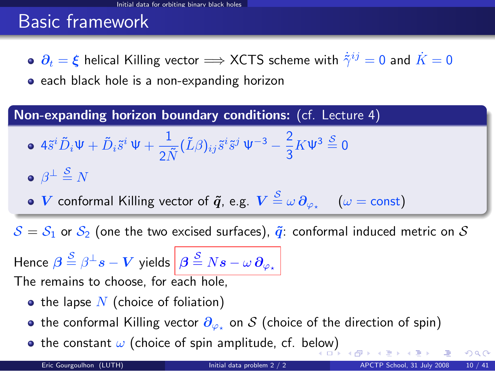## Basic framework

 $\partial_t = \xi$  helical Killing vector  $\Longrightarrow$  XCTS scheme with  $\dot{\tilde{\gamma}}^{ij} = 0$  and  $\dot{K} = 0$ 

**•** each black hole is a non-expanding horizon

Non-expanding horizon boundary conditions: (cf. Lecture 4)

$$
\bullet \ 4\tilde{s}^{i}\tilde{D}_{i}\Psi + \tilde{D}_{i}\tilde{s}^{i}\Psi + \frac{1}{2\tilde{N}}(\tilde{L}\beta)_{ij}\tilde{s}^{i}\tilde{s}^{j}\Psi^{-3} - \frac{2}{3}K\Psi^{3}\stackrel{S}{=} 0
$$

$$
\bullet\ \beta^{\perp}\stackrel{\mathcal{S}}{=}N
$$

 $V$  conformal Killing vector of  $\bm{\tilde q}$ , e.g.  $V\stackrel{\mathcal{S}}{=} \omega\,\partial_{\varphi_\star}\quad\, (\omega = \text{const})$ 

 $S = S_1$  or  $S_2$  (one the two excised surfaces),  $\tilde{q}$ : conformal induced metric on S

Hence  $\bm{\beta} \stackrel{\mathcal{S}}{=} \beta^\perp s - \bm{V}$  yields  $\left|\bm{\beta} \stackrel{\mathcal{S}}{=} N s - \omega \, \bm{\partial}_{\varphi_\star}\right|$ The remains to choose, for each hole,

- the lapse  $N$  (choice of foliation)
- the conformal Killing vector  $\partial_{\varphi_\star}$  on  $\mathcal S$  (choice of the direction of spin)
- the constant  $\omega$  (choice of spin amplitude, cf. be[low](#page-8-0)[\)](#page-10-0)

 $\Omega$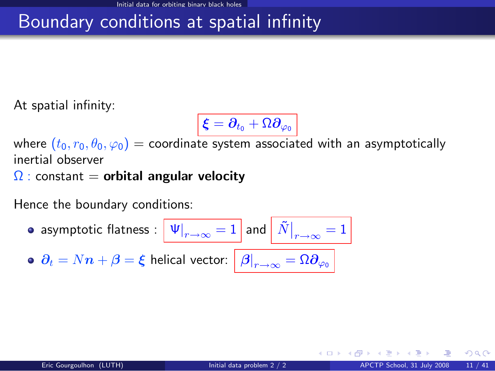## Boundary conditions at spatial infinity

At spatial infinity:

$$
\overline{\boldsymbol{\xi}=\boldsymbol{\partial}_{t_0}+\Omega\boldsymbol{\partial}_{\varphi_0}}
$$

where  $(t_0, r_0, \theta_0, \varphi_0)$  = coordinate system associated with an asymptotically inertial observer

 $\Omega$  : constant = orbital angular velocity

Hence the boundary conditions:

\n- asymptotic flatness: 
$$
\boxed{\Psi|_{r \to \infty} = 1}
$$
 and  $\boxed{\tilde{N}|_{r \to \infty} = 1}$
\n- $\partial_t = Nn + \beta = \xi$  helical vector:  $\boxed{\beta|_{r \to \infty} = \Omega \partial_{\varphi_0}}$
\n

<span id="page-10-0"></span> $\Omega$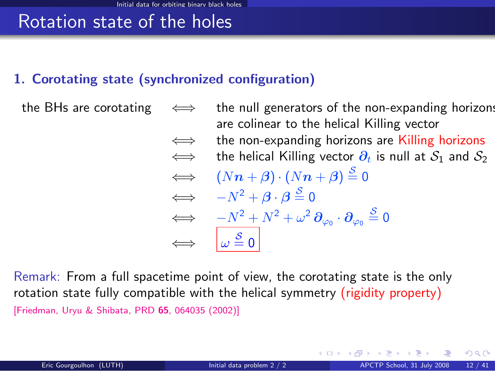## Rotation state of the holes

### 1. Corotating state (synchronized configuration)

the BHs are corotating  $\iff$  the null generators of the non-expanding horizons are colinear to the helical Killing vector  $\iff$  the non-expanding horizons are Killing horizons  $\iff$  the helical Killing vector  $\partial_t$  is null at  $S_1$  and  $S_2$  $\iff (Nn + \beta) \cdot (Nn + \beta) \stackrel{S}{=} 0$  $\iff -N^2 + \beta \cdot \beta \stackrel{S}{=} 0$  $\qquad \Longleftrightarrow \quad \, -N^2+N^2+\omega^2\,\pmb{\partial}_{\varphi_0}\cdot\pmb{\partial}_{\varphi_0}\stackrel{\mathcal{S}}{=}0$  $\Leftrightarrow$   $\omega \stackrel{\mathcal{S}}{=} 0$ 

Remark: From a full spacetime point of view, the corotating state is the only rotation state fully compatible with the helical symmetry (rigidity property) [\[Friedman, Uryu & Shibata, PRD](http://publish.aps.org/abstract/PRD/v65/e064035) 65, 064035 (2002)]

 $\Omega$ 

メロト メ押 トメミト メミト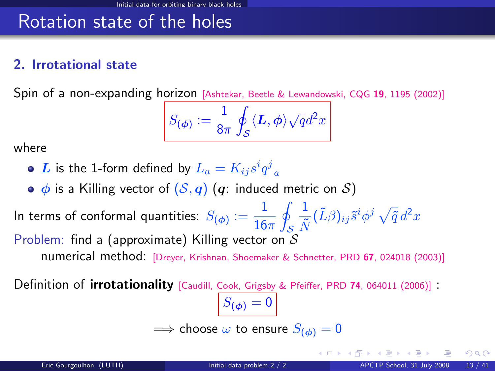## Rotation state of the holes

#### 2. Irrotational state

Spin of a non-expanding horizon [\[Ashtekar, Beetle & Lewandowski, CQG](#page-0-1) <sup>19</sup>, 1195 (2002)]

$$
S_{(\phi)}:=\frac{1}{8\pi}\oint_{\mathcal{S}}\langle\boldsymbol{L},\phi\rangle\sqrt{q}d^{2}x
$$

where

- $\boldsymbol{L}$  is the 1-form defined by  $L_a = K_{ij} s^i q^j\mathstrut_a$
- $\bullet$   $\phi$  is a Killing vector of  $(S, q)$   $(q$ : induced metric on S)

In terms of conformal quantities:  $S_{(\phi)}:=\dfrac{1}{16}$  $16\pi$ l. S 1  $\frac{1}{\tilde{N}}(\tilde{L}\beta)_{ij}\tilde{s}^i\phi^j\,\sqrt{\tilde{q}}\,d^2x$ Problem: find a (approximate) Killing vector on  $S$ numerical method: [\[Dreyer, Krishnan, Shoemaker & Schnetter, PRD](http://link.aps.org/abstract/PRD/v67/e024018) <sup>67</sup>, 024018 (2003)]

Definition of *irrotationality* [\[Caudill, Cook, Grigsby & Pfeiffer, PRD](http://link.aps.org/abstract/PRD/v74/e064011) 74, 064011 (2006)] :

 $|S_{(\phi)}=0|$  $\implies$  choose  $\omega$  to ensure  $S_{(d_0)}=0$ 

メロト メ御 トメ ミトメ 毛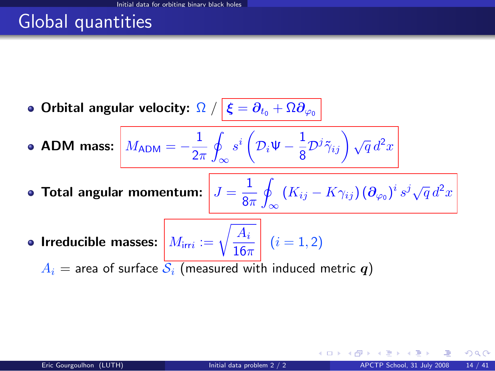## Global quantities

**• Orbital angular velocity:**  $\Omega$  /  $|\boldsymbol{\xi}=\partial_{t_0}+\Omega\partial_{\varphi_0}|$ 

ADM mass:  $M_{\rm ADM} = -\frac{1}{2s}$  $2\pi$ I ∞  $s^i\left( \mathcal{D}_i\mathsf{\Psi}-\frac{1}{\mathtt{\circ}} \right)$  $\frac{1}{8} {\cal D}^j \tilde{\gamma}_{ij} \bigg) \sqrt{q} \, d^2x$ 

- Total angular momentum:  $J=\frac{1}{2}$  $8\pi$ l.  $\int\limits_{-\infty}^{\infty}\left(K_{ij}-K\gamma_{ij}\right)\left(\boldsymbol{\partial}_{\varphi_0}\right)^i s^j\sqrt{q}\,d^2x$
- Irreducible masses:  $M_{\text{irr}i} := \sqrt{\frac{A_i}{16\pi}}$  $\frac{1+i}{16\pi}$   $(i = 1, 2)$

 $A_i$  = area of surface  $S_i$  (measured with induced metric q)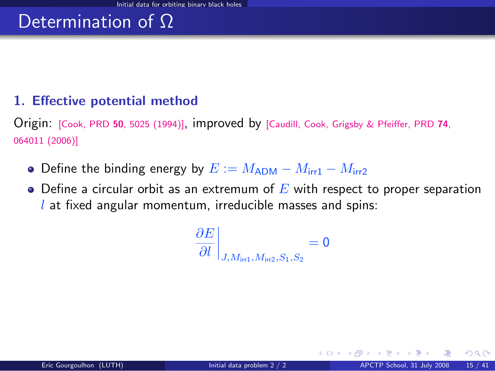#### 1. Effective potential method

Origin: [Cook, PRD <sup>50</sup>[, 5025 \(1994\)\]](http://cornell.mirror.aps.org/abstract/PRD/v50/i8/p5025_1), improved by [\[Caudill, Cook, Grigsby & Pfeiffer, PRD](http://link.aps.org/abstract/PRD/v74/e064011) <sup>74</sup>, [064011 \(2006\)\]](http://link.aps.org/abstract/PRD/v74/e064011)

- Define the binding energy by  $E := M_{\rm ADM} M_{\rm irr1} M_{\rm irr2}$
- $\bullet$  Define a circular orbit as an extremum of E with respect to proper separation  $l$  at fixed angular momentum, irreducible masses and spins:

$$
\left. \frac{\partial E}{\partial l} \right|_{J, M_{\text{irr1}}, M_{\text{irr2}}, S_1, S_2} = 0
$$

 $\Omega$ 

**K ロ ▶ K 何 ▶ K 手**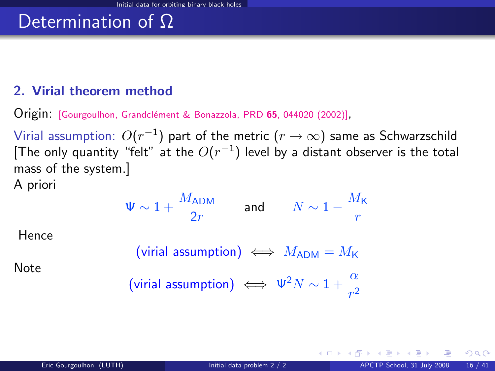#### 2. Virial theorem method

Origin: [\[Gourgoulhon, Grandcl´ement & Bonazzola, PRD](http://publish.aps.org/abstract/PRD/v65/e044020) <sup>65</sup>, 044020 (2002)],

Virial assumption:  $O(r^{-1})$  part of the metric  $(r\rightarrow\infty)$  same as Schwarzschild [The only quantity "felt" at the  $O(r^{-1})$  level by a distant observer is the total mass of the system.]

A priori

$$
\Psi \sim 1 + \frac{M_{\rm ADM}}{2r} \qquad \text{and} \qquad N \sim 1 - \frac{M_{\rm K}}{r}
$$

Hence

$$
(\text{virial assumption}) \iff M_{\text{ADM}} = M_{\text{K}}
$$

Note

$$
\text{(virial assumption)} \iff \Psi^2 N \sim 1 + \frac{\alpha}{r^2}
$$

 $\Omega$ 

**←ロ ▶ ← イ 同 →**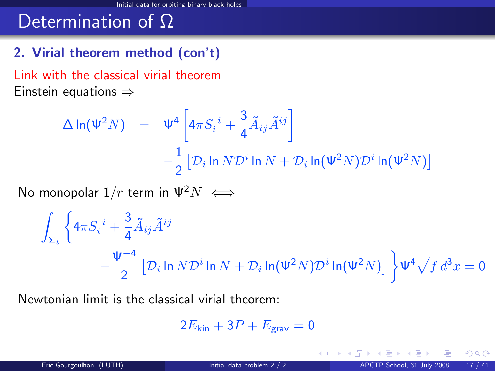### 2. Virial theorem method (con't)

Link with the classical virial theorem Einstein equations ⇒

$$
\Delta \ln(\Psi^2 N) = \Psi^4 \left[ 4\pi S_i^i + \frac{3}{4} \tilde{A}_{ij} \tilde{A}^{ij} \right]
$$
  

$$
- \frac{1}{2} \left[ \mathcal{D}_i \ln N \mathcal{D}^i \ln N + \mathcal{D}_i \ln(\Psi^2 N) \mathcal{D}^i \ln(\Psi^2 N) \right]
$$

No monopolar  $1/r$  term in  $\Psi^2 N \iff$ 

$$
\int_{\Sigma_t} \left\{ 4\pi S_i^i + \frac{3}{4} \tilde{A}_{ij} \tilde{A}^{ij} - \frac{\Psi^{-4}}{2} \left[ \mathcal{D}_i \ln N \mathcal{D}^i \ln N + \mathcal{D}_i \ln(\Psi^2 N) \mathcal{D}^i \ln(\Psi^2 N) \right] \right\} \Psi^4 \sqrt{f} d^3 x = 0
$$

Newtonian limit is the classical virial theorem:

$$
2E_{\rm kin} + 3P + E_{\rm grav} = 0
$$

 $\Omega$ 

**←ロ ▶ ← イ 同 →**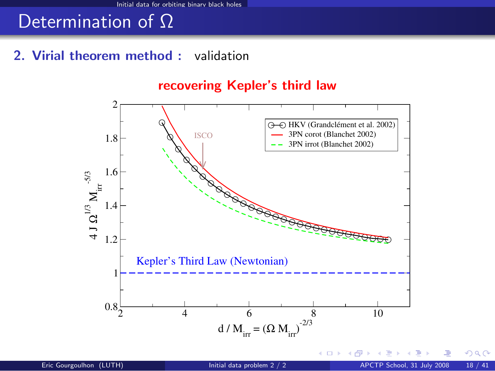#### 2. Virial theorem method : validation

#### 2 4 6 8 10 d /  $M_{irr} = (\Omega M_{irr})^{2/3}$  $0.8<sub>z</sub>$  $1\leftarrow$ 1.2 1.4 1.6 1.8  $\overline{2}$   $\overline{\Gamma}$  $\frac{1}{4}$  $\boldsymbol{\Omega}^{1/3} \, \boldsymbol{\mathrm{M}_{\mathrm{irr}}}^{-5/3}$ Kepler's Third Law (Newtonian) ISCO HKV (Grandclément et al. 2002) 3PN corot (Blanchet 2002) 3PN irrot (Blanchet 2002)

#### recovering Kepler's third law

4. 0. 3. 4.

 $QQ$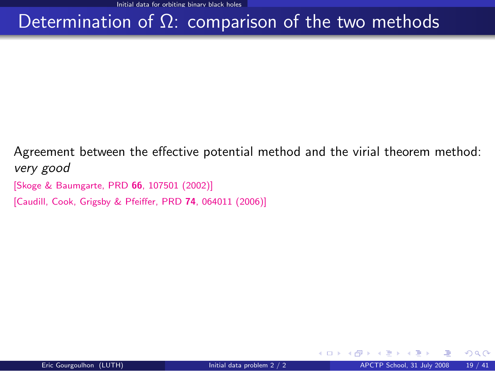## Determination of  $Ω$ : comparison of the two methods

Agreement between the effective potential method and the virial theorem method: very good

[\[Skoge & Baumgarte, PRD](http://publish.aps.org/abstract/PRD/v66/e107501) 66, 107501 (2002)]

[\[Caudill, Cook, Grigsby & Pfeiffer, PRD](http://link.aps.org/abstract/PRD/v74/e064011) 74, 064011 (2006)]

 $\Omega$ 

**← ロ ▶ → イ 同**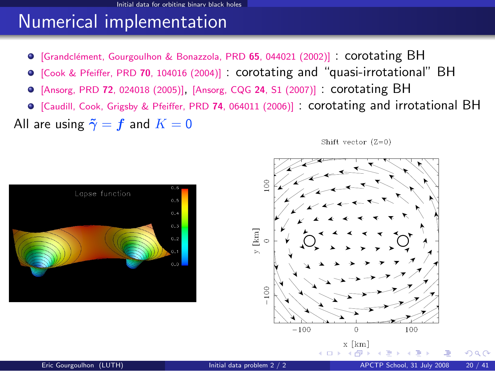### Numerical implementation

- $\bullet$  [Grandclément, Gourgoulhon & Bonazzola, PRD 65, 044021 (2002)] : corotating BH
- [\[Cook & Pfeiffer, PRD](http://publish.aps.org/abstract/PRD/v70/e104016) <sup>70</sup>, 104016 (2004)] : corotating and "quasi-irrotational" BH
- [Ansorg, PRD <sup>72</sup>[, 024018 \(2005\)\]](http://publish.aps.org/abstract/PRD/v72/024018), [\[Ansorg, CQG](http://www.iop.org/EJ/abstract/0264-9381/24/12/S01/) <sup>24</sup>, S1 (2007)] : corotating BH
- [\[Caudill, Cook, Grigsby & Pfeiffer, PRD](http://link.aps.org/abstract/PRD/v74/e064011) <sup>74</sup>, 064011 (2006)] : corotating and irrotational BH

All are using  $\tilde{\gamma} = f$  and  $K = 0$ 

Shift vector  $(Z=0)$ 





100

 $\Omega$ 

 $x$  [km]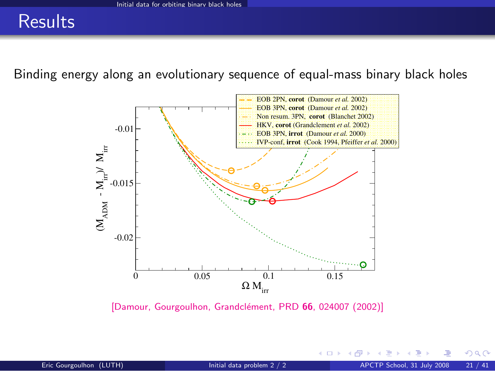### **Results**

Binding energy along an evolutionary sequence of equal-mass binary black holes



[Damour, Gourgoulhon, Grandclément, PRD 66, 024007 (2002)]

 $\Omega$ 

(□) (@)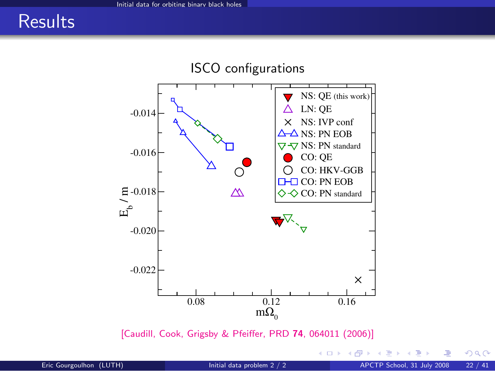### **Results**



[\[Caudill, Cook, Grigsby & Pfeiffer, PRD](http://link.aps.org/abstract/PRD/v74/e064011) 74, 064011 (2006)]

← ロ ▶ → 伊  $\rightarrow$   $299$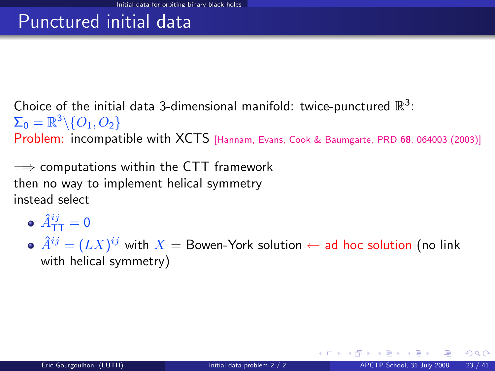## Punctured initial data

Choice of the initial data 3-dimensional manifold: twice-punctured  $\mathbb{R}^3$ :  $\Sigma_0 = \mathbb{R}^3 \backslash \{O_1,O_2\}$ 

Problem: incompatible with XCTS [\[Hannam, Evans, Cook & Baumgarte, PRD](http://link.aps.org/abstract/PRD/v68/e064003) <sup>68</sup>, 064003 (2003)]

 $\implies$  computations within the CTT framework then no way to implement helical symmetry instead select

- $\hat{A}^{ij}_{\mathsf{T}\mathsf{T}} = \mathsf{0}$
- $\hat{A}^{ij} = (L X)^{ij}$  with  $X =$  Bowen-York solution  $\leftarrow$  ad hoc solution (no link with helical symmetry)

 $\Omega$ 

イロト イ押ト イヨト イ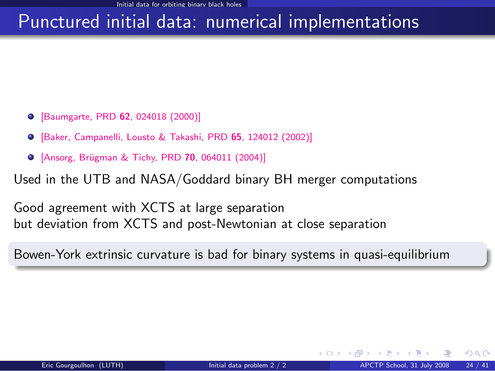### Punctured initial data: numerical implementations

- [\[Baumgarte, PRD](http://publish.aps.org/abstract/PRD/v62/e024018) 62, 024018 (2000)]
- [\[Baker, Campanelli, Lousto & Takashi, PRD](http://publish.aps.org/abstract/PRD/v65/e124012) 65, 124012 (2002)]
- **•** [Ansorg, Brügman & Tichy, PRD 70, 064011 (2004)]

Used in the UTB and NASA/Goddard binary BH merger computations

Good agreement with XCTS at large separation but deviation from XCTS and post-Newtonian at close separation

Bowen-York extrinsic curvature is bad for binary systems in quasi-equilibrium

 $\Omega$ 

◂<del>◻▸ кฅ</del>▸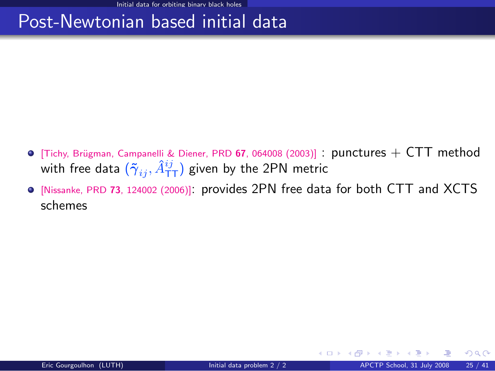### Post-Newtonian based initial data

- $\bullet$  [Tichy, Brügman, Campanelli & Diener, PRD 67, 064008 (2003)] : punctures  $+$  CTT method with free data  $(\tilde{\gamma}_{ij}, \hat{A}^{ij}_{\text{\sf TT}})$  given by the 2PN metric
- [Nissanke, PRD <sup>73</sup>[, 124002 \(2006\)\]](http://publish.aps.org/abstract/PRD/v73/e124002): provides 2PN free data for both CTT and XCTS schemes

 $\Omega$ 

**K ロ ト K 何 ト K ヨ ト**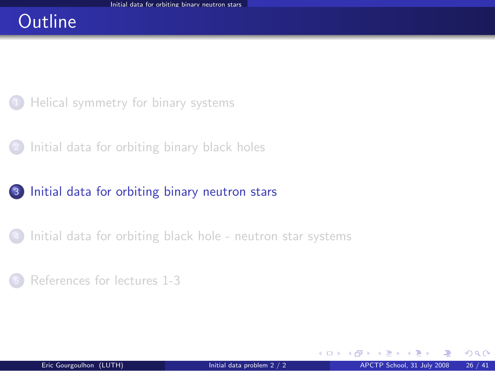### **Outline**

- [Helical symmetry for binary systems](#page-2-0)
- <sup>2</sup> [Initial data for orbiting binary black holes](#page-8-0)

### <sup>3</sup> [Initial data for orbiting binary neutron stars](#page-25-0)

[Initial data for orbiting black hole - neutron star systems](#page-33-0)

#### <sup>5</sup> [References for lectures 1-3](#page-37-0)

<span id="page-25-0"></span> $\Omega$ 

**←ロ ▶ ← イ 同 →**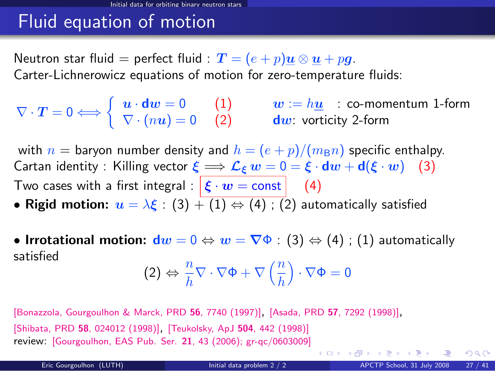## Fluid equation of motion

Neutron star fluid = perfect fluid :  $\bm{T} = (e+p)\bm{u} \otimes \bm{u} + p\bm{g}$ . Carter-Lichnerowicz equations of motion for zero-temperature fluids:

$$
\nabla \cdot \boldsymbol{T} = 0 \Longleftrightarrow \left\{ \begin{array}{ll} \boldsymbol{u} \cdot \boldsymbol{d w} = 0 & (1) & \boldsymbol{w} := h \underline{\boldsymbol{u}} \quad : \text{co-momentum 1-form} \\ \nabla \cdot (n \boldsymbol{u}) = 0 & (2) & \boldsymbol{d w} \text{: vorticity 2-form} \end{array} \right.
$$

with  $n =$  baryon number density and  $h = (e + p)/(m_B n)$  specific enthalpy. Cartan identity : Killing vector  $\xi \Longrightarrow \mathcal{L}_{\xi} w = 0 = \xi \cdot dw + d(\xi \cdot w)$  (3) Two cases with a first integral :  $\left| \xi \cdot w = \text{const} \right|$  (4)

- Rigid motion:  $u = \lambda \xi : (3) + (1) \Leftrightarrow (4) : (2)$  automatically satisfied
- Irrotational motion:  $dw = 0 \Leftrightarrow w = \nabla \Phi : (3) \Leftrightarrow (4)$ ; (1) automatically satisfied

$$
(2) \Leftrightarrow \frac{n}{h} \nabla \cdot \nabla \Phi + \nabla \left(\frac{n}{h}\right) \cdot \nabla \Phi = 0
$$

[\[Bonazzola, Gourgoulhon & Marck, PRD](http://prola.aps.org/abstract/PRD/v56/i12/p7740_1) <sup>56</sup>, 7740 (1997)], [Asada, PRD <sup>57</sup>[, 7292 \(1998\)\]](#page-0-1), [Shibata, PRD <sup>58</sup>[, 024012 \(1998\)\]](#page-0-1), [\[Teukolsky, ApJ](#page-0-1) <sup>504</sup>, 442 (1998)] review: [\[Gourgoulhon, EAS Pub. Ser.](http://arxiv.org/abs/gr-qc/0603009) 21, 43 (2006); gr-qc/0603009]

 $\Omega$ 

イロト イ押ト イヨト イヨト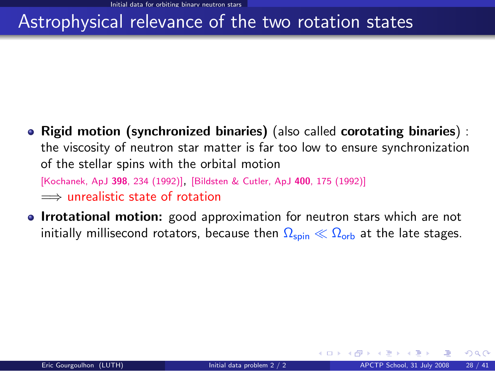## Astrophysical relevance of the two rotation states

• Rigid motion (synchronized binaries) (also called corotating binaries) : the viscosity of neutron star matter is far too low to ensure synchronization of the stellar spins with the orbital motion

[\[Kochanek, ApJ](#page-0-1) <sup>398</sup>, 234 (1992)], [\[Bildsten & Cutler, ApJ](#page-0-1) <sup>400</sup>, 175 (1992)] =⇒ unrealistic state of rotation

• Irrotational motion: good approximation for neutron stars which are not initially millisecond rotators, because then  $\Omega_{\text{spin}} \ll \Omega_{\text{orb}}$  at the late stages.

 $\Omega$ 

**K ロ ト K 何 ト K ヨ ト**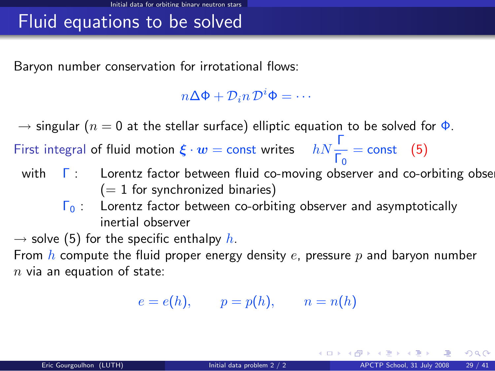## Fluid equations to be solved

Baryon number conservation for irrotational flows:

 $n\Delta\Phi + \mathcal{D}_i n \mathcal{D}^i \Phi = \cdots$ 

 $\rightarrow$  singular ( $n = 0$  at the stellar surface) elliptic equation to be solved for  $\Phi$ .

First integral of fluid motion  $\xi \cdot w = \text{const}$  writes  $hN \frac{\Gamma}{\Gamma_0} = \text{const}$  (5)

- with  $\Gamma$  : Lorentz factor between fluid co-moving observer and co-orbiting obse  $(= 1$  for synchronized binaries)
	- $\Gamma_0$  : Lorentz factor between co-orbiting observer and asymptotically inertial observer

 $\rightarrow$  solve (5) for the specific enthalpy h.

From  $h$  compute the fluid proper energy density  $e$ , pressure  $p$  and baryon number  $n$  via an equation of state:

 $e = e(h), \qquad p = p(h), \qquad n = n(h)$ 

 $QQ$ 

K ロンス 御 > ス ヨ > ス ヨ > ニ ヨ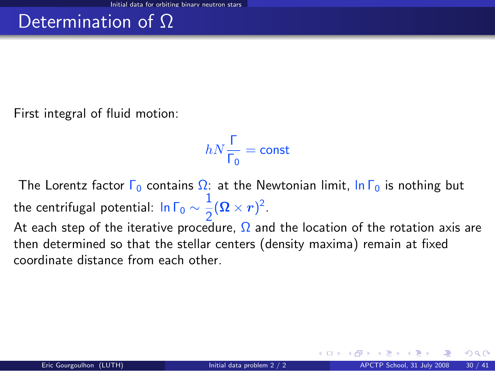First integral of fluid motion:

$$
hN\frac{\Gamma}{\Gamma_0}=\text{const}
$$

The Lorentz factor  $\Gamma_0$  contains  $\Omega$ : at the Newtonian limit,  $\ln \Gamma_0$  is nothing but the centrifugal potential: In Г $_0 \sim \frac{1}{2}$  $\frac{1}{2}(\mathbf{\Omega}\times\mathbf{r})^2$ 

At each step of the iterative procedure,  $\Omega$  and the location of the rotation axis are then determined so that the stellar centers (density maxima) remain at fixed coordinate distance from each other.

∢ <del>□</del> ▶ ∢ n <del>□</del> ▶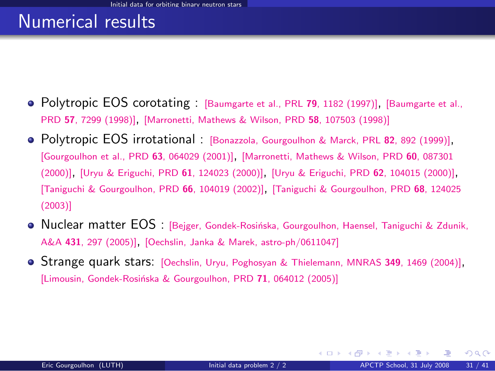### Numerical results

- Polytropic EOS corotating : [\[Baumgarte et al., PRL](http://prola.aps.org/abstract/PRL/v79/i7/p1182_1) 79, 1182 (1997)], [\[Baumgarte et al.,](http://prola.aps.org/abstract/PRD/v57/i12/p7299_1) PRD <sup>57</sup>[, 7299 \(1998\)\]](http://prola.aps.org/abstract/PRD/v57/i12/p7299_1), [\[Marronetti, Mathews & Wilson, PRD](http://publish.aps.org/abstract/PRD/v58/e107503) <sup>58</sup>, 107503 (1998)]
- Polytropic EOS irrotational : [\[Bonazzola, Gourgoulhon & Marck, PRL](http://prola.aps.org/abstract/PRL/v82/i5/p892_1) <sup>82</sup>, 892 (1999)], [\[Gourgoulhon et al., PRD](http://publish.aps.org/abstract/PRD/v63/e064029) <sup>63</sup>, 064029 (2001)], [\[Marronetti, Mathews & Wilson, PRD](http://publish.aps.org/abstract/PRD/v60/e087301) <sup>60</sup>, 087301 [\(2000\)\]](http://publish.aps.org/abstract/PRD/v60/e087301), [\[Uryu & Eriguchi, PRD](http://publish.aps.org/abstract/PRD/v61/e124023) <sup>61</sup>, 124023 (2000)], [\[Uryu & Eriguchi, PRD](http://publish.aps.org/abstract/PRD/v62/e104015) <sup>62</sup>, 104015 (2000)], [\[Taniguchi & Gourgoulhon, PRD](http://publish.aps.org/abstract/PRD/v66/e104019) <sup>66</sup>, 104019 (2002)], [\[Taniguchi & Gourgoulhon, PRD](http://link.aps.org/abstract/PRD/v68/e124025) <sup>68</sup>, 124025 [\(2003\)\]](http://link.aps.org/abstract/PRD/v68/e124025)
- **Nuclear matter EOS** : [Beiger, Gondek-Rosińska, Gourgoulhon, Haensel, Taniguchi & Zdunik, A&A <sup>431</sup>[, 297 \(2005\)\]](http://www.edpsciences.org/10.1051/0004-6361:20041441), [\[Oechslin, Janka & Marek, astro-ph/0611047\]](http://arxiv.org/abs/astro-ph/0611047)
- **Strange quark stars:** [\[Oechslin, Uryu, Poghosyan & Thielemann, MNRAS](#page-0-1) 349, 1469 (2004)], [Limousin, Gondek-Rosińska & Gourgoulhon, PRD 71, 064012 (2005)]

 $\Omega$ 

**←ロ ▶ ← イ 同 →**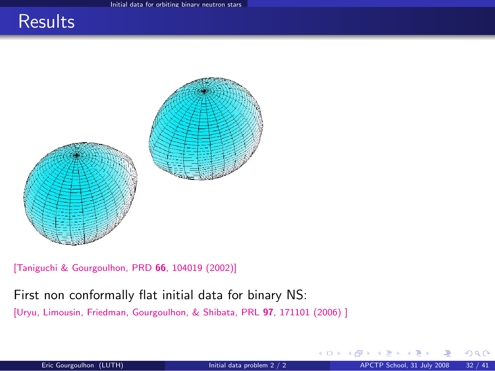### **Results**



[\[Taniguchi & Gourgoulhon, PRD](http://publish.aps.org/abstract/PRD/v66/e104019) 66, 104019 (2002)]

#### First non conformally flat initial data for binary NS:

[\[Uryu, Limousin, Friedman, Gourgoulhon, & Shibata, PRL](#page-0-1) 97, 171101 (2006)]

 $\Omega$ 

4 0 8 4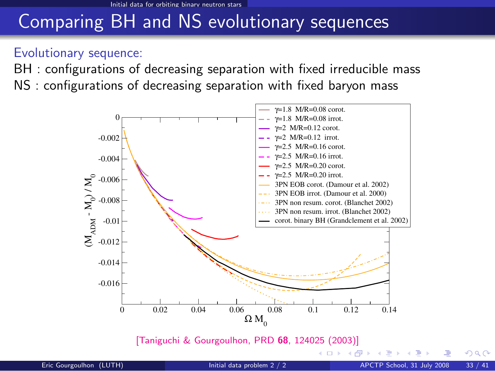## Comparing BH and NS evolutionary sequences

#### Evolutionary sequence:

BH : configurations of decreasing separation with fixed irreducible mass NS : configurations of decreasing separation with fixed baryon mass



[\[Taniguchi & Gourgoulhon, PRD](http://link.aps.org/abstract/PRD/v68/e124025) 68, 124025 (2003)]

4 D F

<span id="page-32-0"></span> $299$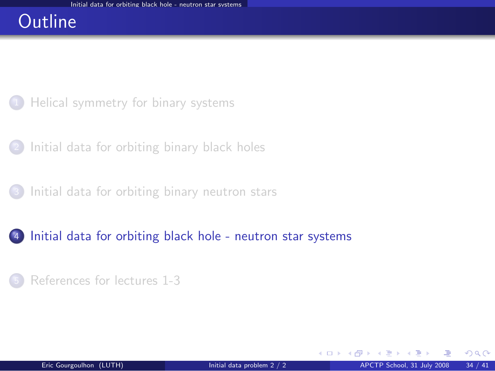### **Outline**

- [Helical symmetry for binary systems](#page-2-0)
- [Initial data for orbiting binary black holes](#page-8-0)
- <sup>3</sup> [Initial data for orbiting binary neutron stars](#page-25-0)
- <sup>4</sup> [Initial data for orbiting black hole neutron star systems](#page-33-0)
	- <sup>5</sup> [References for lectures 1-3](#page-37-0)

**←ロ ▶ ← イ 同 →** 

<span id="page-33-0"></span> $QQ$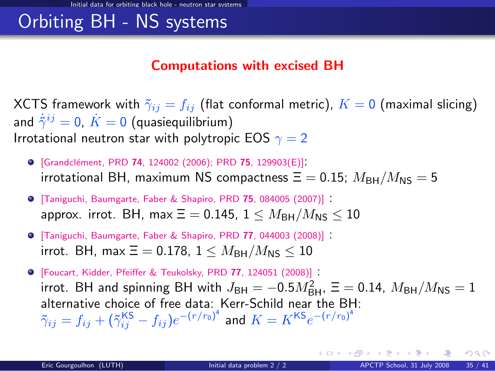## Orbiting BH - NS systems

#### Computations with excised BH

XCTS framework with  $\tilde{\gamma}_{ij} = f_{ij}$  (flat conformal metric),  $K = 0$  (maximal slicing) and  $\dot{\tilde{\gamma}}^{ij}=0, \, \dot{K}=0$  (quasiequilibrium) Irrotational neutron star with polytropic EOS  $\gamma = 2$ 

- **•** [Grandclément, PRD 74[, 124002 \(2006\); PRD](http://link.aps.org/abstract/PRD/v74/e124002) 75, 129903(E)]: irrotational BH, maximum NS compactness  $\Xi = 0.15$ ;  $M_{\text{BH}}/M_{\text{NS}} = 5$
- [\[Taniguchi, Baumgarte, Faber & Shapiro, PRD](http://link.aps.org/abstract/PRD/v75/e084005) <sup>75</sup>, 084005 (2007)] : approx. irrot. BH, max  $\Xi = 0.145$ ,  $1 \leq M_{\text{BH}}/M_{\text{NS}} \leq 10$
- [\[Taniguchi, Baumgarte, Faber & Shapiro, PRD](http://link.aps.org/abstract/PRD/v77/e044003) <sup>77</sup>, 044003 (2008)] : irrot. BH, max  $\Xi = 0.178$ ,  $1 \leq M_{\rm BH}/M_{\rm NS} \leq 10$

[\[Foucart, Kidder, Pfeiffer & Teukolsky, PRD](http://link.aps.org/abstract/PRD/v77/e124051) <sup>77</sup>, 124051 (2008)] : irrot. BH and spinning BH with  $J_{\sf BH} = -0.5 M_{\sf BH}^2$ ,  $\Xi = 0.14$ ,  $M_{\sf BH}/M_{\sf NS} = 1$ alternative choice of free data: Kerr-Schild near the BH:  $\tilde{\gamma}_{ij}=f_{ij}+(\tilde{\gamma}_{ij}^{\mathsf{KS}}-f_{ij})e^{-(r/r_0)^4}$  and  $K=K^{\mathsf{KS}}e^{-(r/r_0)^4}$ 

<span id="page-34-0"></span> $\Omega$ 

メロト メ押 トメミト メミト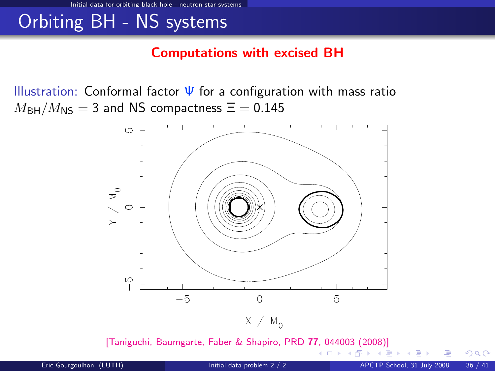## Orbiting BH - NS systems

#### Computations with excised BH

Illustration: Conformal factor  $\Psi$  for a configuration with mass ratio  $M_{\text{BH}}/M_{\text{NS}} = 3$  and NS compactness  $\Xi = 0.145$ 



[\[Taniguchi, Baumgarte, Faber & Shapiro, PRD](http://link.aps.org/abstract/PRD/v77/e044003) 77[, 0](#page-34-0)[440](#page-36-0)[0](#page-34-0)[3 \(2](#page-35-0)[0](#page-36-0)[08](#page-32-0)[\)\]](#page-33-0)

<span id="page-35-0"></span> $\Omega$ 

**← ロ ▶ → イ 同**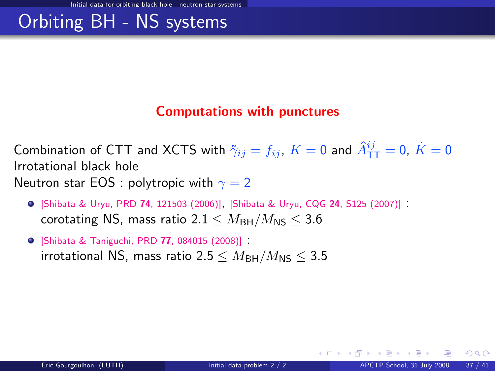## Orbiting BH - NS systems

#### Computations with punctures

Combination of CTT and XCTS with  $\tilde{\gamma}_{ij}=f_{ij}$ ,  $K=0$  and  $\hat{A}_{\text{TT}}^{ij}=0,~\dot{K}=0$ Irrotational black hole Neutron star EOS : polytropic with  $\gamma = 2$ 

- [\[Shibata & Uryu, PRD](http://link.aps.org/abstract/PRD/v74/e121503) <sup>74</sup>, 121503 (2006)], [\[Shibata & Uryu, CQG](http://www.iop.org/EJ/abstract/0264-9381/24/12/S09/) <sup>24</sup>, S125 (2007)] : corotating NS, mass ratio  $2.1 \leq M_{\text{BH}}/M_{\text{NS}} \leq 3.6$
- [\[Shibata & Taniguchi, PRD](http://link.aps.org/abstract/PRD/v77/e084015) <sup>77</sup>, 084015 (2008)] : irrotational NS, mass ratio 2.5  $\leq M_{\rm BH}/M_{\rm NS} \leq 3.5$

<span id="page-36-0"></span> $\Omega$ 

**K ロ ト K 何 ト K ヨ ト K**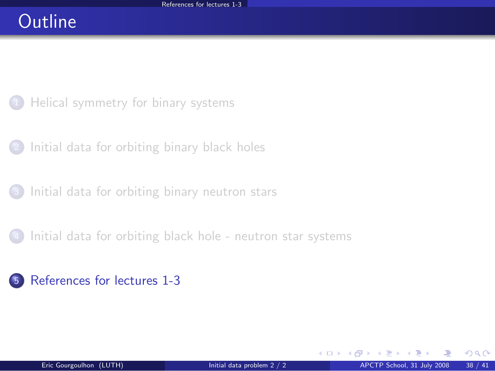## **Outline**

- [Helical symmetry for binary systems](#page-2-0)
- [Initial data for orbiting binary black holes](#page-8-0)
- <sup>3</sup> [Initial data for orbiting binary neutron stars](#page-25-0)
	- [Initial data for orbiting black hole neutron star systems](#page-33-0)

### <sup>5</sup> [References for lectures 1-3](#page-37-0)

**←ロ ▶ ← イ 同 →** 

<span id="page-37-0"></span> $QQ$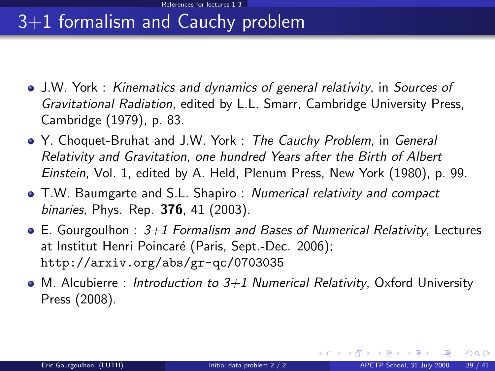## 3+1 formalism and Cauchy problem

- J.W. York : Kinematics and dynamics of general relativity, in Sources of Gravitational Radiation, edited by L.L. Smarr, Cambridge University Press, Cambridge (1979), p. 83.
- Y. Choquet-Bruhat and J.W. York : The Cauchy Problem, in General Relativity and Gravitation, one hundred Years after the Birth of Albert Einstein, Vol. 1, edited by A. Held, Plenum Press, New York (1980), p. 99.
- T.W. Baumgarte and S.L. Shapiro : Numerical relativity and compact binaries, Phys. Rep. 376, 41 (2003).
- $\bullet$  E. Gourgoulhon :  $3+1$  Formalism and Bases of Numerical Relativity, Lectures at Institut Henri Poincaré (Paris, Sept.-Dec. 2006); <http://arxiv.org/abs/gr-qc/0703035>
- $\bullet$  M. Alcubierre : Introduction to 3+1 Numerical Relativity, Oxford University Press (2008).

 $\Omega$ 

イロト イ押 トイヨ トイヨ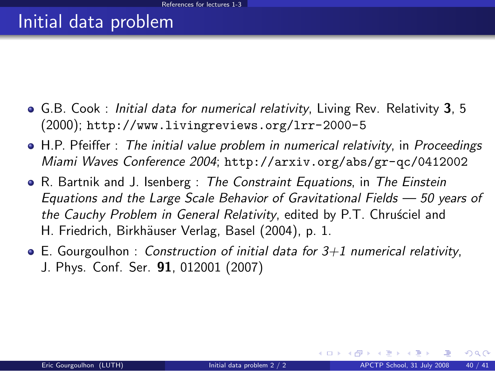### Initial data problem

- G.B. Cook : Initial data for numerical relativity, Living Rev. Relativity 3, 5 (2000); <http://www.livingreviews.org/lrr-2000-5>
- H.P. Pfeiffer : The initial value problem in numerical relativity, in Proceedings Miami Waves Conference 2004; <http://arxiv.org/abs/gr-qc/0412002>
- R. Bartnik and J. Isenberg : The Constraint Equations, in The Einstein Equations and the Large Scale Behavior of Gravitational Fields — 50 years of the Cauchy Problem in General Relativity, edited by P.T. Chrusciel and H. Friedrich, Birkhäuser Verlag, Basel (2004), p. 1.
- $\bullet$  E. Gourgoulhon : Construction of initial data for 3+1 numerical relativity, J. Phys. Conf. Ser. 91, 012001 (2007)

 $\Omega$ 

イロト イ押ト イヨト イ